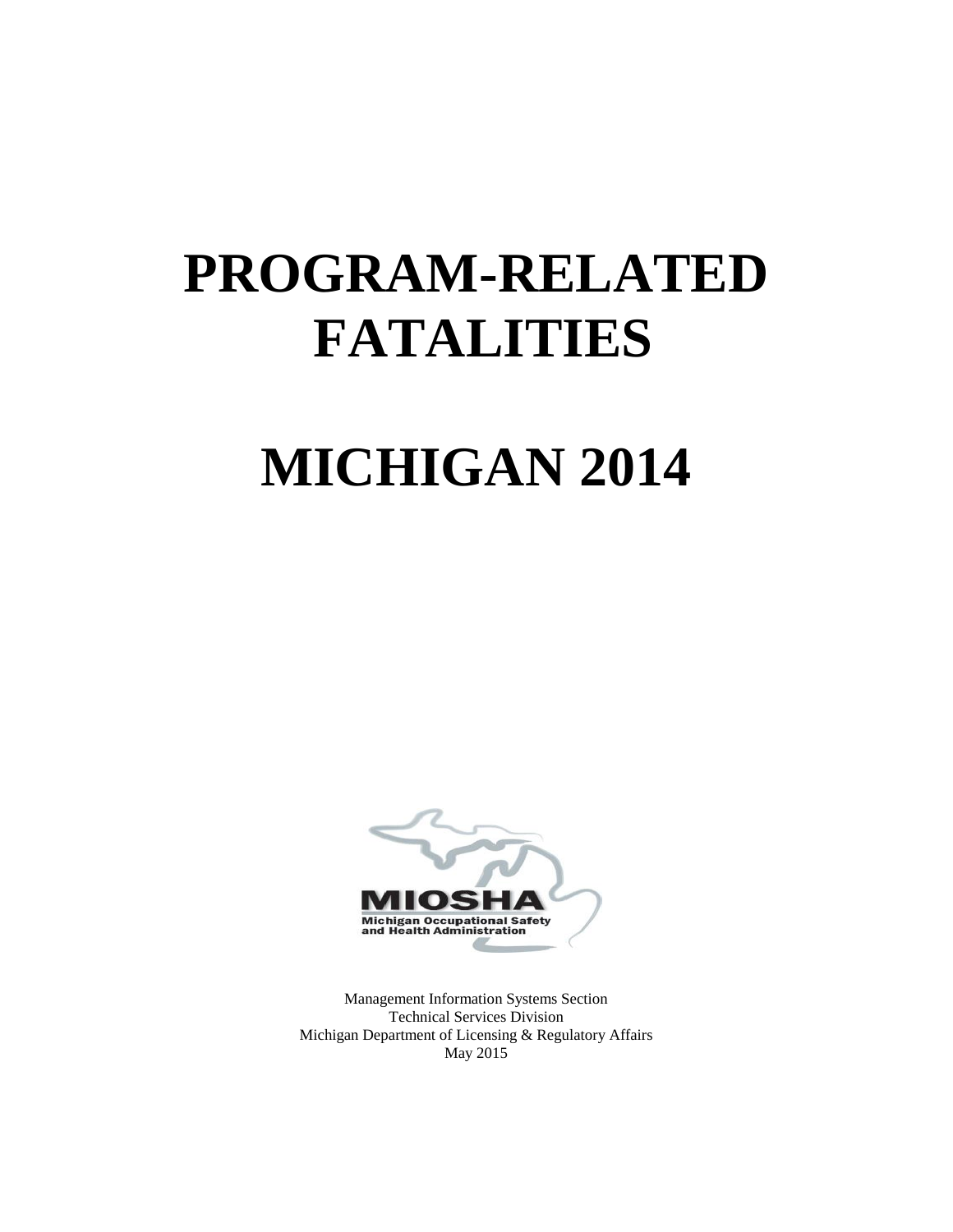# **PROGRAM-RELATED FATALITIES**

# **MICHIGAN 2014**



Management Information Systems Section Technical Services Division Michigan Department of Licensing & Regulatory Affairs May 2015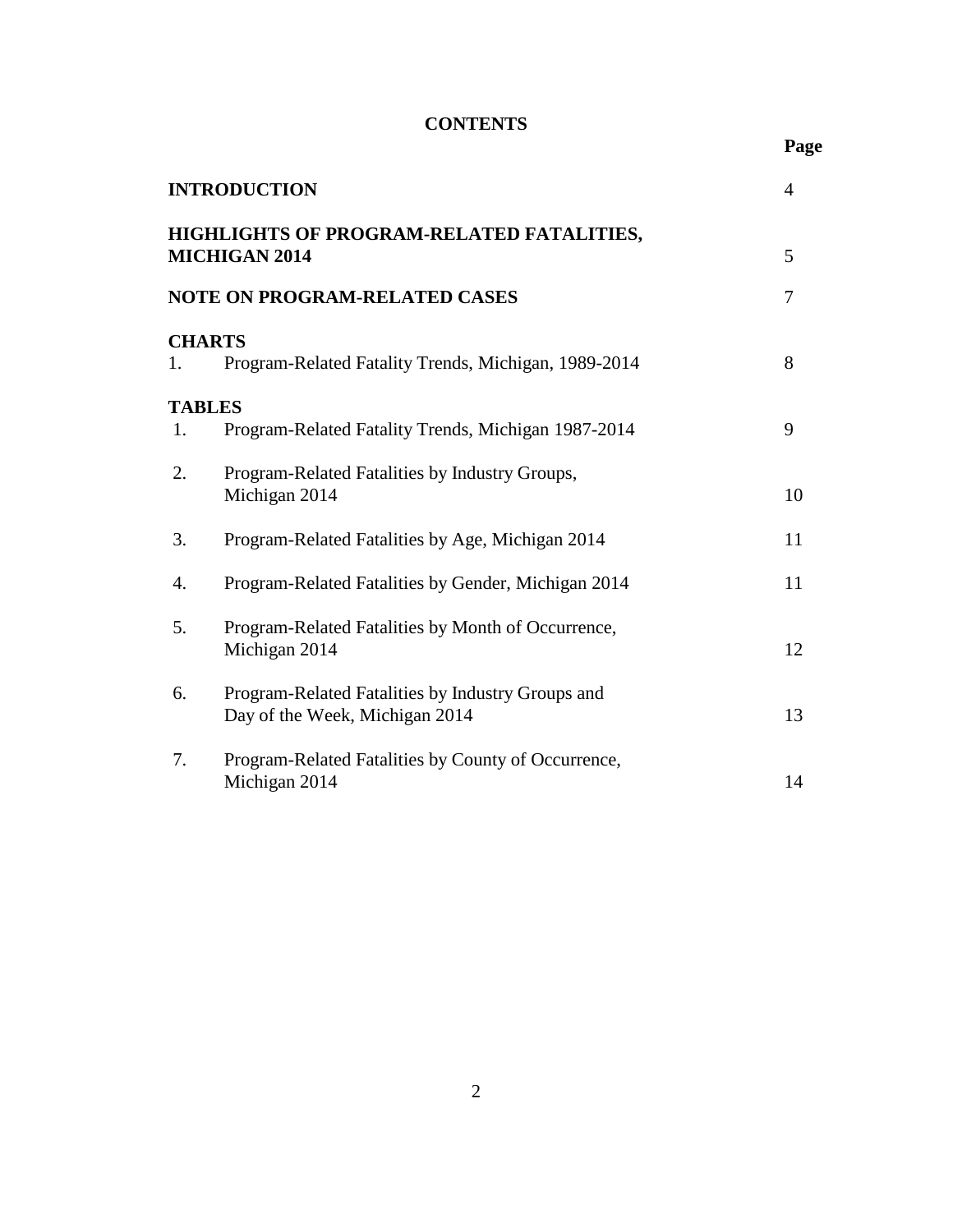# **CONTENTS**

**Page**

|                                                                        | <b>INTRODUCTION</b>                                                                 | $\overline{4}$ |  |  |  |
|------------------------------------------------------------------------|-------------------------------------------------------------------------------------|----------------|--|--|--|
| HIGHLIGHTS OF PROGRAM-RELATED FATALITIES,<br><b>MICHIGAN 2014</b><br>5 |                                                                                     |                |  |  |  |
|                                                                        | <b>NOTE ON PROGRAM-RELATED CASES</b>                                                | 7              |  |  |  |
| 1.                                                                     | <b>CHARTS</b><br>Program-Related Fatality Trends, Michigan, 1989-2014               | 8              |  |  |  |
| <b>TABLES</b><br>1.                                                    | Program-Related Fatality Trends, Michigan 1987-2014                                 | 9              |  |  |  |
| 2.                                                                     | Program-Related Fatalities by Industry Groups,<br>Michigan 2014                     | 10             |  |  |  |
| 3.                                                                     | Program-Related Fatalities by Age, Michigan 2014                                    | 11             |  |  |  |
| 4.                                                                     | Program-Related Fatalities by Gender, Michigan 2014                                 | 11             |  |  |  |
| 5.                                                                     | Program-Related Fatalities by Month of Occurrence,<br>Michigan 2014                 | 12             |  |  |  |
| 6.                                                                     | Program-Related Fatalities by Industry Groups and<br>Day of the Week, Michigan 2014 | 13             |  |  |  |
| 7.                                                                     | Program-Related Fatalities by County of Occurrence,<br>Michigan 2014                | 14             |  |  |  |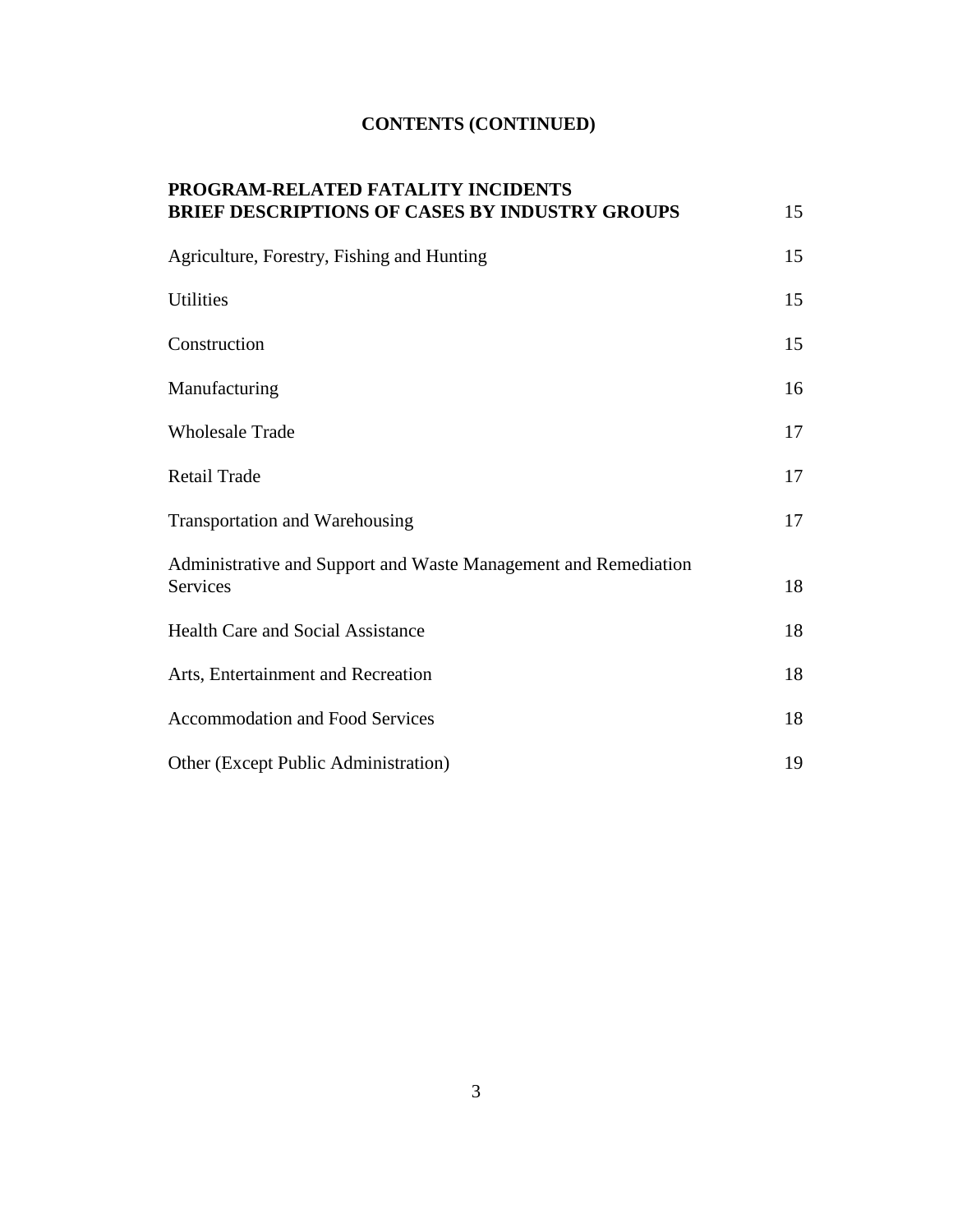# **CONTENTS (CONTINUED)**

| PROGRAM-RELATED FATALITY INCIDENTS                                                 |    |
|------------------------------------------------------------------------------------|----|
| <b>BRIEF DESCRIPTIONS OF CASES BY INDUSTRY GROUPS</b>                              | 15 |
| Agriculture, Forestry, Fishing and Hunting                                         | 15 |
| <b>Utilities</b>                                                                   | 15 |
| Construction                                                                       | 15 |
| Manufacturing                                                                      | 16 |
| <b>Wholesale Trade</b>                                                             | 17 |
| Retail Trade                                                                       | 17 |
| Transportation and Warehousing                                                     | 17 |
| Administrative and Support and Waste Management and Remediation<br><b>Services</b> | 18 |
| <b>Health Care and Social Assistance</b>                                           | 18 |
| Arts, Entertainment and Recreation                                                 | 18 |
| <b>Accommodation and Food Services</b>                                             | 18 |
| Other (Except Public Administration)                                               | 19 |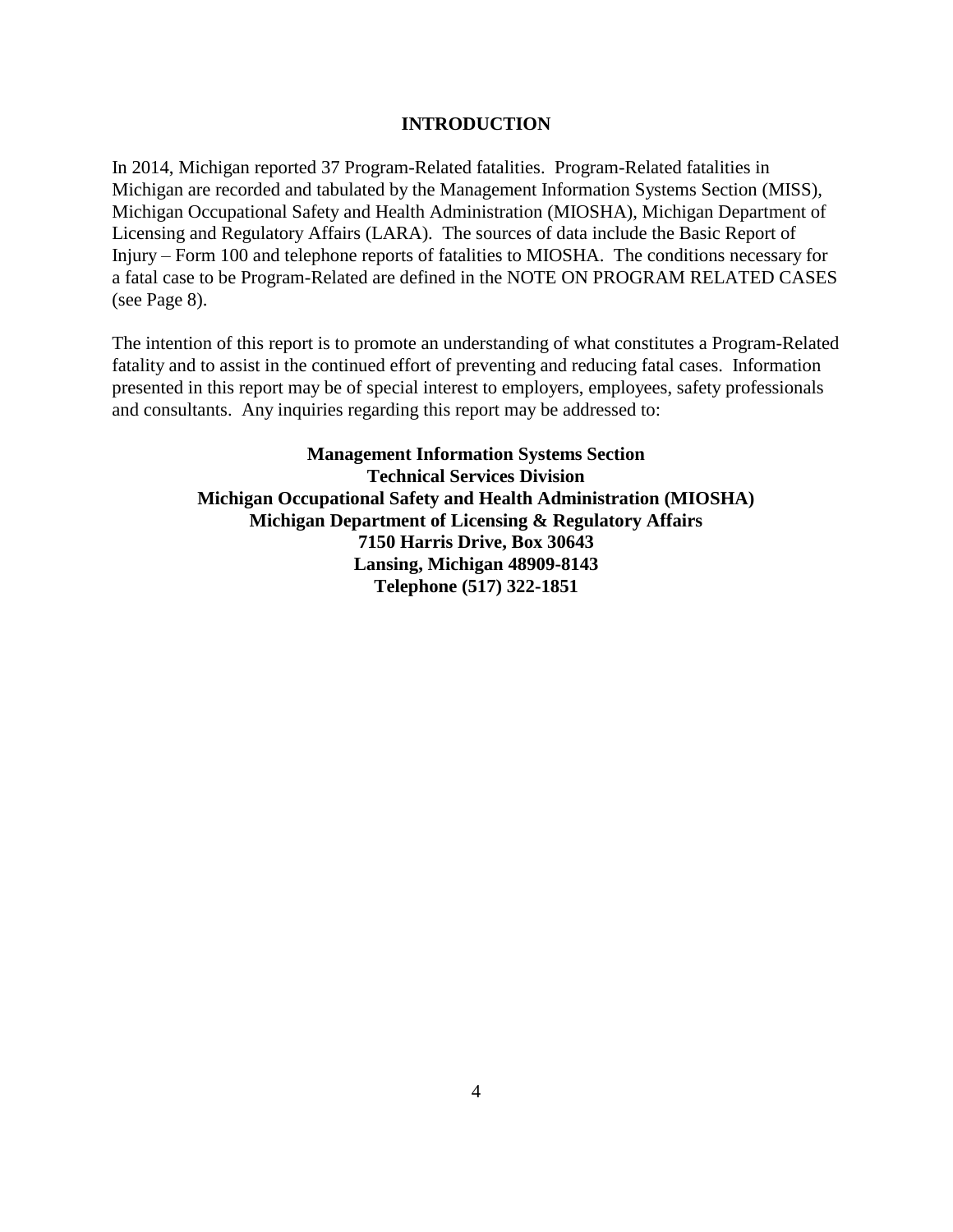#### **INTRODUCTION**

In 2014, Michigan reported 37 Program-Related fatalities. Program-Related fatalities in Michigan are recorded and tabulated by the Management Information Systems Section (MISS), Michigan Occupational Safety and Health Administration (MIOSHA), Michigan Department of Licensing and Regulatory Affairs (LARA). The sources of data include the Basic Report of Injury – Form 100 and telephone reports of fatalities to MIOSHA. The conditions necessary for a fatal case to be Program-Related are defined in the NOTE ON PROGRAM RELATED CASES (see Page 8).

The intention of this report is to promote an understanding of what constitutes a Program-Related fatality and to assist in the continued effort of preventing and reducing fatal cases. Information presented in this report may be of special interest to employers, employees, safety professionals and consultants. Any inquiries regarding this report may be addressed to:

> **Management Information Systems Section Technical Services Division Michigan Occupational Safety and Health Administration (MIOSHA) Michigan Department of Licensing & Regulatory Affairs 7150 Harris Drive, Box 30643 Lansing, Michigan 48909-8143 Telephone (517) 322-1851**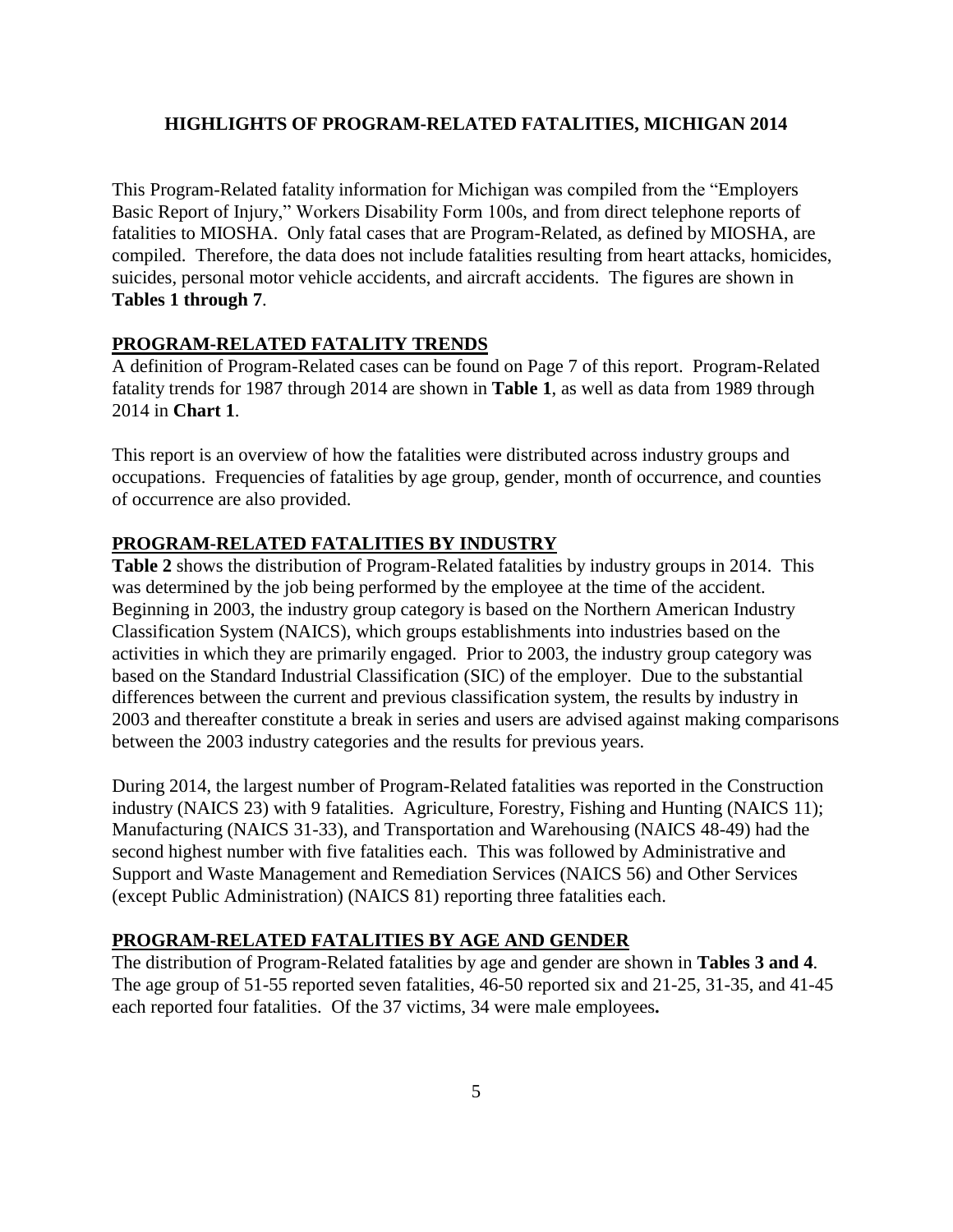#### **HIGHLIGHTS OF PROGRAM-RELATED FATALITIES, MICHIGAN 2014**

This Program-Related fatality information for Michigan was compiled from the "Employers Basic Report of Injury," Workers Disability Form 100s, and from direct telephone reports of fatalities to MIOSHA. Only fatal cases that are Program-Related, as defined by MIOSHA, are compiled. Therefore, the data does not include fatalities resulting from heart attacks, homicides, suicides, personal motor vehicle accidents, and aircraft accidents. The figures are shown in **Tables 1 through 7**.

#### **PROGRAM-RELATED FATALITY TRENDS**

A definition of Program-Related cases can be found on Page 7 of this report. Program-Related fatality trends for 1987 through 2014 are shown in **Table 1**, as well as data from 1989 through 2014 in **Chart 1**.

This report is an overview of how the fatalities were distributed across industry groups and occupations. Frequencies of fatalities by age group, gender, month of occurrence, and counties of occurrence are also provided.

#### **PROGRAM-RELATED FATALITIES BY INDUSTRY**

**Table 2** shows the distribution of Program-Related fatalities by industry groups in 2014. This was determined by the job being performed by the employee at the time of the accident. Beginning in 2003, the industry group category is based on the Northern American Industry Classification System (NAICS), which groups establishments into industries based on the activities in which they are primarily engaged. Prior to 2003, the industry group category was based on the Standard Industrial Classification (SIC) of the employer. Due to the substantial differences between the current and previous classification system, the results by industry in 2003 and thereafter constitute a break in series and users are advised against making comparisons between the 2003 industry categories and the results for previous years.

During 2014, the largest number of Program-Related fatalities was reported in the Construction industry (NAICS 23) with 9 fatalities. Agriculture, Forestry, Fishing and Hunting (NAICS 11); Manufacturing (NAICS 31-33), and Transportation and Warehousing (NAICS 48-49) had the second highest number with five fatalities each. This was followed by Administrative and Support and Waste Management and Remediation Services (NAICS 56) and Other Services (except Public Administration) (NAICS 81) reporting three fatalities each.

### **PROGRAM-RELATED FATALITIES BY AGE AND GENDER**

The distribution of Program-Related fatalities by age and gender are shown in **Tables 3 and 4**. The age group of 51-55 reported seven fatalities, 46-50 reported six and 21-25, 31-35, and 41-45 each reported four fatalities. Of the 37 victims, 34 were male employees**.**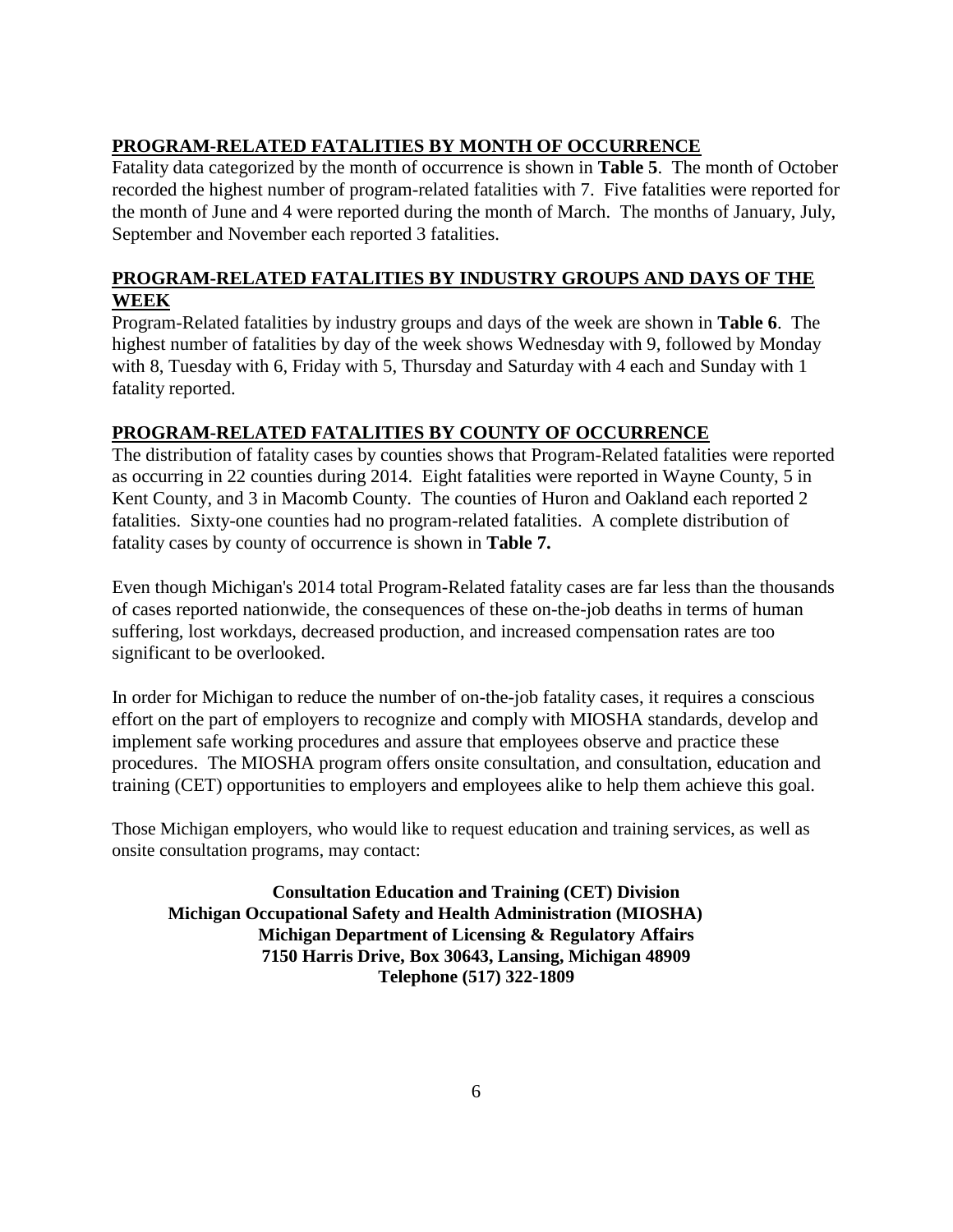# **PROGRAM-RELATED FATALITIES BY MONTH OF OCCURRENCE**

Fatality data categorized by the month of occurrence is shown in **Table 5**.The month of October recorded the highest number of program-related fatalities with 7. Five fatalities were reported for the month of June and 4 were reported during the month of March. The months of January, July, September and November each reported 3 fatalities.

# **PROGRAM-RELATED FATALITIES BY INDUSTRY GROUPS AND DAYS OF THE WEEK**

Program-Related fatalities by industry groups and days of the week are shown in **Table 6**. The highest number of fatalities by day of the week shows Wednesday with 9, followed by Monday with 8, Tuesday with 6, Friday with 5, Thursday and Saturday with 4 each and Sunday with 1 fatality reported.

# **PROGRAM-RELATED FATALITIES BY COUNTY OF OCCURRENCE**

The distribution of fatality cases by counties shows that Program-Related fatalities were reported as occurring in 22 counties during 2014. Eight fatalities were reported in Wayne County, 5 in Kent County, and 3 in Macomb County. The counties of Huron and Oakland each reported 2 fatalities. Sixty-one counties had no program-related fatalities. A complete distribution of fatality cases by county of occurrence is shown in **Table 7.**

Even though Michigan's 2014 total Program-Related fatality cases are far less than the thousands of cases reported nationwide, the consequences of these on-the-job deaths in terms of human suffering, lost workdays, decreased production, and increased compensation rates are too significant to be overlooked.

In order for Michigan to reduce the number of on-the-job fatality cases, it requires a conscious effort on the part of employers to recognize and comply with MIOSHA standards, develop and implement safe working procedures and assure that employees observe and practice these procedures. The MIOSHA program offers onsite consultation, and consultation, education and training (CET) opportunities to employers and employees alike to help them achieve this goal.

Those Michigan employers, who would like to request education and training services, as well as onsite consultation programs, may contact:

**Consultation Education and Training (CET) Division Michigan Occupational Safety and Health Administration (MIOSHA) Michigan Department of Licensing & Regulatory Affairs 7150 Harris Drive, Box 30643, Lansing, Michigan 48909 Telephone (517) 322-1809**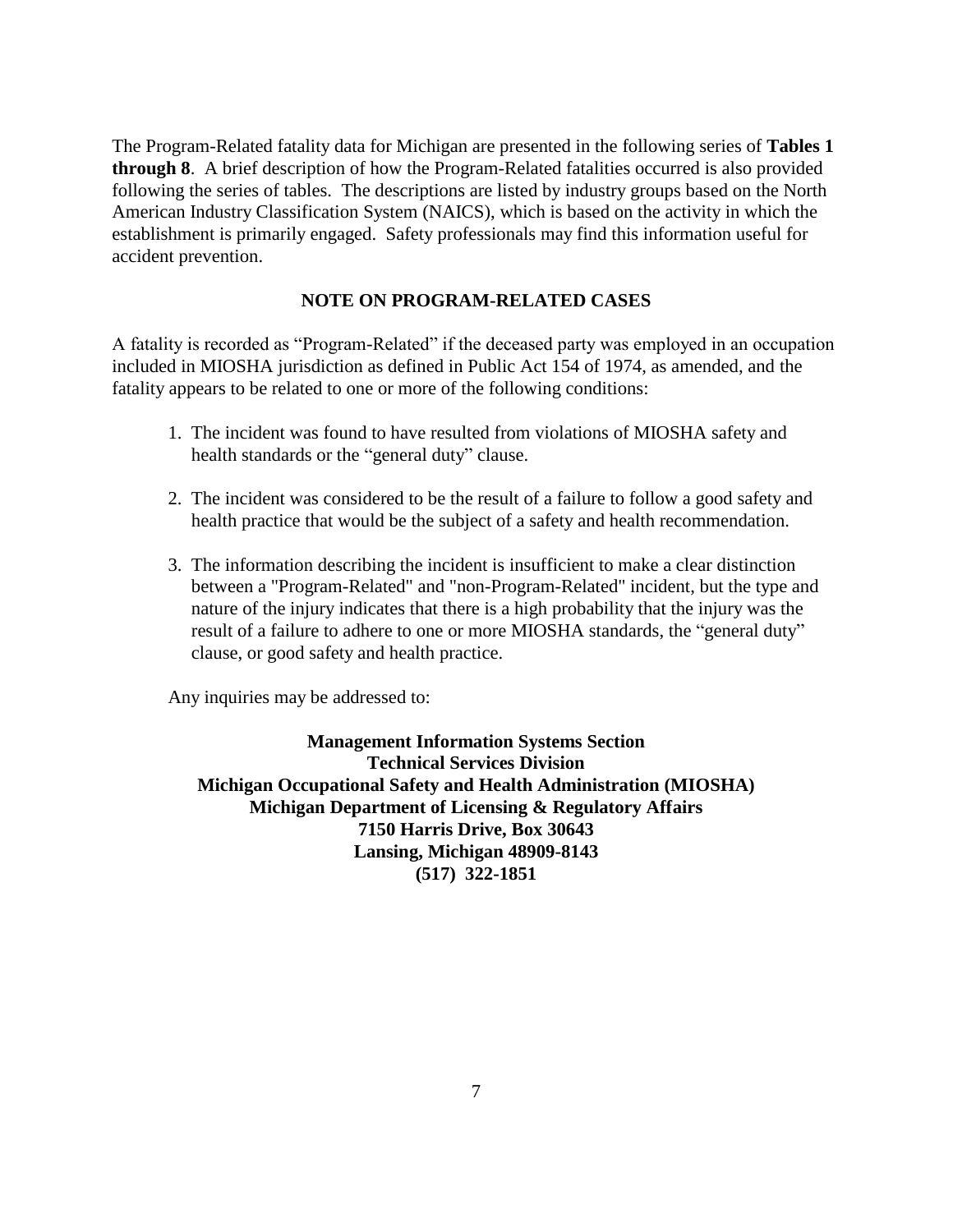The Program-Related fatality data for Michigan are presented in the following series of **Tables 1 through 8**. A brief description of how the Program-Related fatalities occurred is also provided following the series of tables. The descriptions are listed by industry groups based on the North American Industry Classification System (NAICS), which is based on the activity in which the establishment is primarily engaged. Safety professionals may find this information useful for accident prevention.

### **NOTE ON PROGRAM-RELATED CASES**

A fatality is recorded as "Program-Related" if the deceased party was employed in an occupation included in MIOSHA jurisdiction as defined in Public Act 154 of 1974, as amended, and the fatality appears to be related to one or more of the following conditions:

- 1. The incident was found to have resulted from violations of MIOSHA safety and health standards or the "general duty" clause.
- 2. The incident was considered to be the result of a failure to follow a good safety and health practice that would be the subject of a safety and health recommendation.
- 3. The information describing the incident is insufficient to make a clear distinction between a "Program-Related" and "non-Program-Related" incident, but the type and nature of the injury indicates that there is a high probability that the injury was the result of a failure to adhere to one or more MIOSHA standards, the "general duty" clause, or good safety and health practice.

Any inquiries may be addressed to:

**Management Information Systems Section Technical Services Division Michigan Occupational Safety and Health Administration (MIOSHA) Michigan Department of Licensing & Regulatory Affairs 7150 Harris Drive, Box 30643 Lansing, Michigan 48909-8143 (517) 322-1851**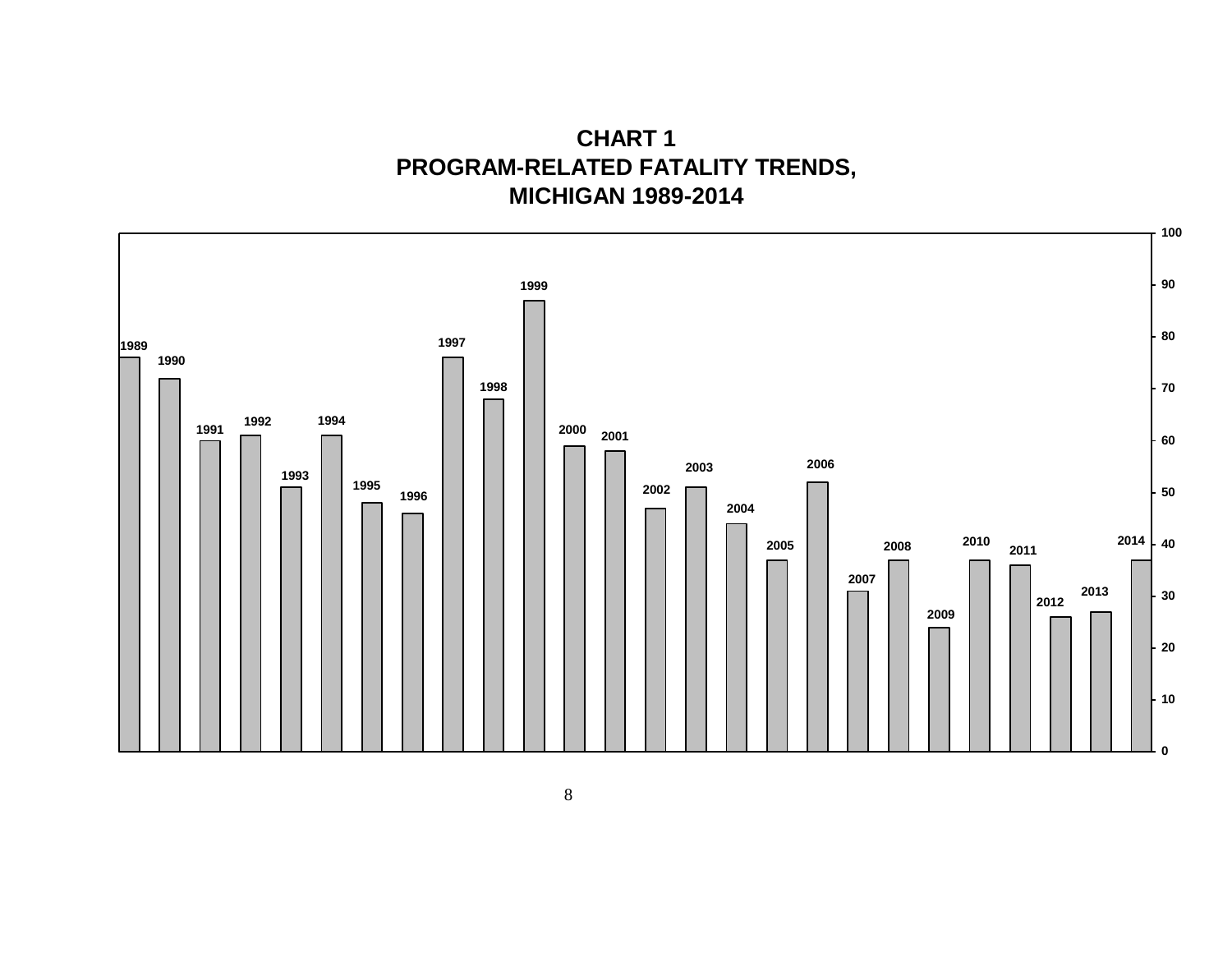**CHART 1 PROGRAM-RELATED FATALITY TRENDS, MICHIGAN 1989-2014**

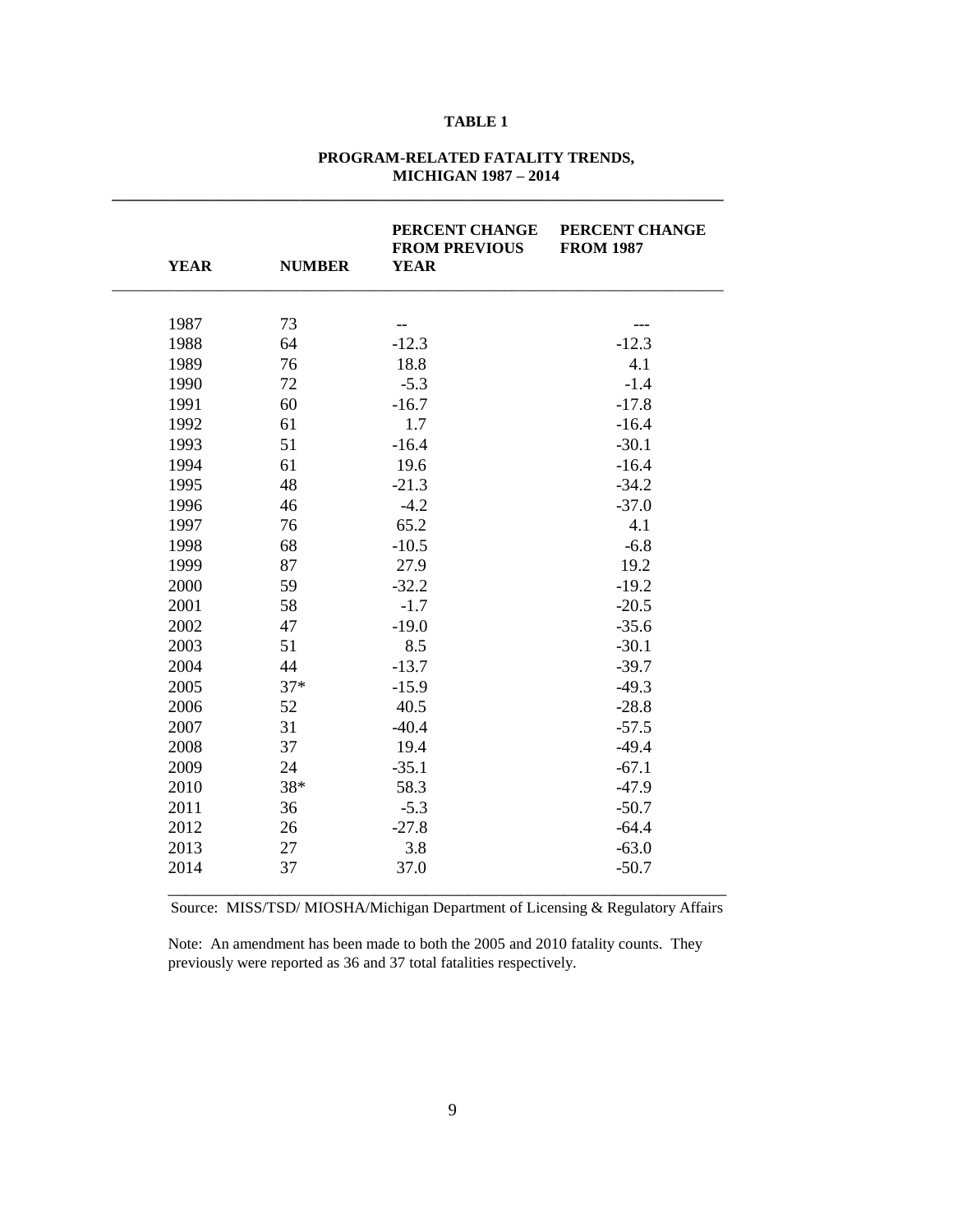#### **PROGRAM-RELATED FATALITY TRENDS, MICHIGAN 1987 – 2014**

**\_\_\_\_\_\_\_\_\_\_\_\_\_\_\_\_\_\_\_\_\_\_\_\_\_\_\_\_\_\_\_\_\_\_\_\_\_\_\_\_\_\_\_\_\_\_\_\_\_\_\_\_\_\_\_\_\_\_\_\_\_\_\_\_\_\_\_\_\_\_\_\_\_\_\_\_\_\_**

| <b>YEAR</b> | <b>NUMBER</b> | PERCENT CHANGE<br><b>FROM PREVIOUS</b><br><b>YEAR</b> | PERCENT CHANGE<br><b>FROM 1987</b> |  |  |
|-------------|---------------|-------------------------------------------------------|------------------------------------|--|--|
|             |               |                                                       |                                    |  |  |
| 1987        | 73            | --                                                    |                                    |  |  |
| 1988        | 64            | $-12.3$                                               | $-12.3$                            |  |  |
| 1989        | 76            | 18.8                                                  | 4.1                                |  |  |
| 1990        | 72            | $-5.3$                                                | $-1.4$                             |  |  |
| 1991        | 60            | $-16.7$                                               | $-17.8$                            |  |  |
| 1992        | 61            | 1.7                                                   | $-16.4$                            |  |  |
| 1993        | 51            | $-16.4$                                               | $-30.1$                            |  |  |
| 1994        | 61            | 19.6                                                  | $-16.4$                            |  |  |
| 1995        | 48            | $-21.3$                                               | $-34.2$                            |  |  |
| 1996        | 46            | $-4.2$                                                | $-37.0$                            |  |  |
| 1997        | 76            | 65.2                                                  | 4.1                                |  |  |
| 1998        | 68            | $-10.5$                                               | $-6.8$                             |  |  |
| 1999        | 87            | 27.9                                                  | 19.2                               |  |  |
| 2000        | 59            | $-32.2$                                               | $-19.2$                            |  |  |
| 2001        | 58            | $-1.7$                                                | $-20.5$                            |  |  |
| 2002        | 47            | $-19.0$                                               | $-35.6$                            |  |  |
| 2003        | 51            | 8.5                                                   | $-30.1$                            |  |  |
| 2004        | 44            | $-13.7$                                               | $-39.7$                            |  |  |
| 2005        | $37*$         | $-15.9$                                               | $-49.3$                            |  |  |
| 2006        | 52            | 40.5                                                  | $-28.8$                            |  |  |
| 2007        | 31            | $-40.4$                                               | $-57.5$                            |  |  |
| 2008        | 37            | 19.4                                                  | $-49.4$                            |  |  |
| 2009        | 24            | $-35.1$                                               | $-67.1$                            |  |  |
| 2010        | 38*           | 58.3                                                  | $-47.9$                            |  |  |
| 2011        | 36            | $-5.3$                                                | $-50.7$                            |  |  |
| 2012        | 26            | $-27.8$                                               | $-64.4$                            |  |  |
| 2013        | 27            | 3.8                                                   | $-63.0$                            |  |  |
| 2014        | 37            | 37.0                                                  | $-50.7$                            |  |  |

Source: MISS/TSD/ MIOSHA/Michigan Department of Licensing & Regulatory Affairs

Note: An amendment has been made to both the 2005 and 2010 fatality counts. They previously were reported as 36 and 37 total fatalities respectively.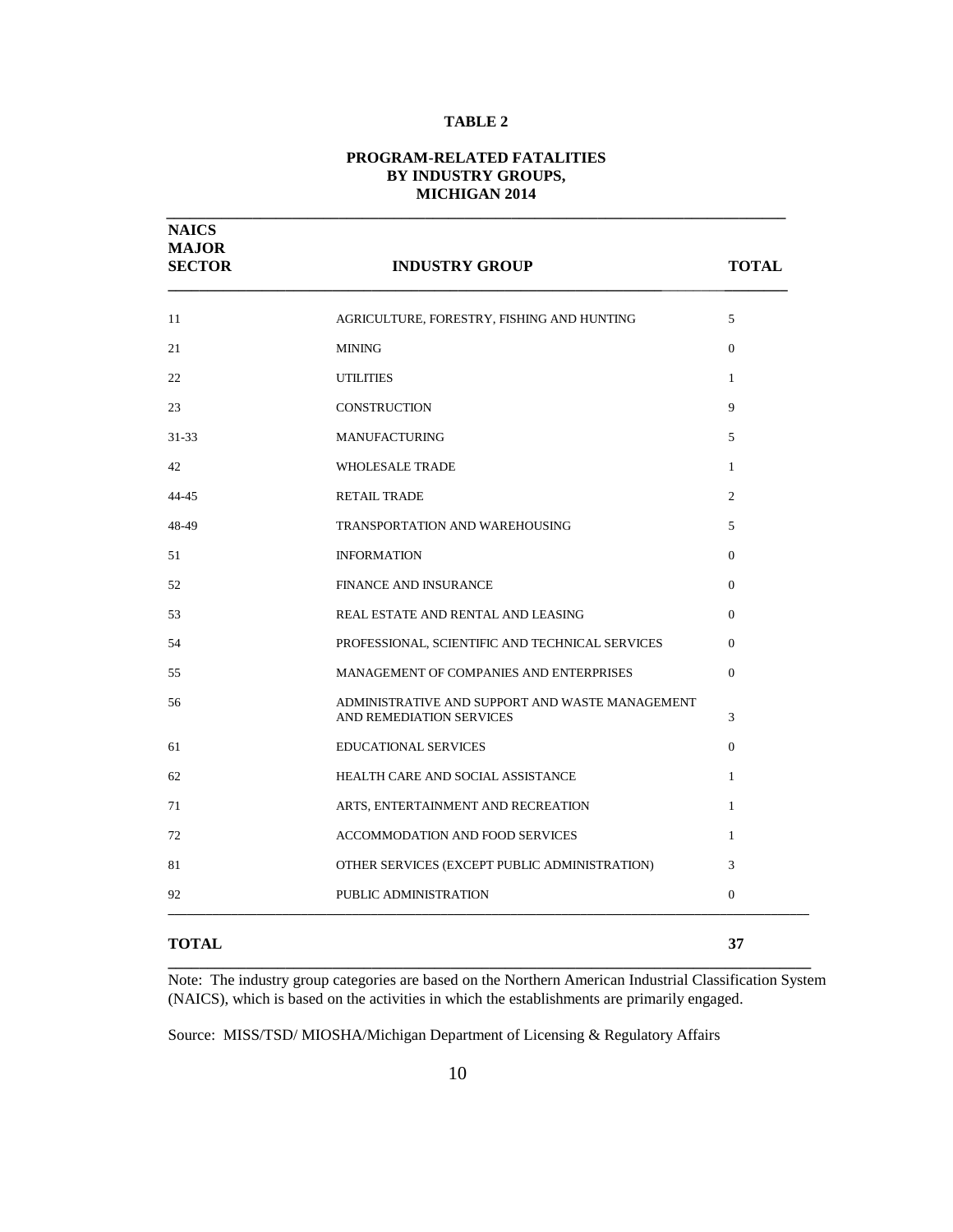#### **PROGRAM-RELATED FATALITIES BY INDUSTRY GROUPS, MICHIGAN 2014**

**\_\_\_\_\_\_\_\_\_\_\_\_\_\_\_\_\_\_\_\_\_\_\_\_\_\_\_\_\_\_\_\_\_\_\_\_\_\_\_\_\_\_\_\_\_\_\_\_\_\_\_\_\_\_\_\_\_\_\_\_\_\_\_\_\_\_\_\_\_\_\_\_\_\_\_\_\_\_\_**

| <b>NAICS</b><br><b>MAJOR</b><br><b>SECTOR</b> | <b>INDUSTRY GROUP</b>                                                       | <b>TOTAL</b>   |
|-----------------------------------------------|-----------------------------------------------------------------------------|----------------|
| 11                                            | AGRICULTURE, FORESTRY, FISHING AND HUNTING                                  | 5              |
| 21                                            | <b>MINING</b>                                                               | $\overline{0}$ |
| 22                                            | <b>UTILITIES</b>                                                            | $\mathbf{1}$   |
| 23                                            | <b>CONSTRUCTION</b>                                                         | 9              |
| $31 - 33$                                     | <b>MANUFACTURING</b>                                                        | 5              |
| 42                                            | <b>WHOLESALE TRADE</b>                                                      | $\mathbf{1}$   |
| $44 - 45$                                     | <b>RETAIL TRADE</b>                                                         | 2              |
| 48-49                                         | TRANSPORTATION AND WAREHOUSING                                              | 5              |
| 51                                            | <b>INFORMATION</b>                                                          | $\Omega$       |
| 52                                            | <b>FINANCE AND INSURANCE</b>                                                | $\Omega$       |
| 53                                            | REAL ESTATE AND RENTAL AND LEASING                                          | $\Omega$       |
| 54                                            | PROFESSIONAL, SCIENTIFIC AND TECHNICAL SERVICES                             | $\Omega$       |
| 55                                            | MANAGEMENT OF COMPANIES AND ENTERPRISES                                     | $\Omega$       |
| 56                                            | ADMINISTRATIVE AND SUPPORT AND WASTE MANAGEMENT<br>AND REMEDIATION SERVICES | 3              |
| 61                                            | <b>EDUCATIONAL SERVICES</b>                                                 | $\Omega$       |
| 62                                            | HEALTH CARE AND SOCIAL ASSISTANCE                                           | $\mathbf{1}$   |
| 71                                            | ARTS, ENTERTAINMENT AND RECREATION                                          | $\mathbf{1}$   |
| 72                                            | <b>ACCOMMODATION AND FOOD SERVICES</b>                                      | $\mathbf{1}$   |
| 81                                            | OTHER SERVICES (EXCEPT PUBLIC ADMINISTRATION)                               | 3              |
| 92                                            | PUBLIC ADMINISTRATION                                                       | $\overline{0}$ |
| <b>TOTAL</b>                                  |                                                                             | 37             |

**\_\_\_\_\_\_\_\_\_\_\_\_\_\_\_\_\_\_\_\_\_\_\_\_\_\_\_\_\_\_\_\_\_\_\_\_\_\_\_\_\_\_\_\_\_\_\_\_\_\_\_\_\_\_\_\_\_\_\_\_\_\_\_\_\_\_\_\_\_\_\_\_\_\_\_\_\_\_\_\_\_\_** Note:The industry group categories are based on the Northern American Industrial Classification System (NAICS), which is based on the activities in which the establishments are primarily engaged.

Source: MISS/TSD/ MIOSHA/Michigan Department of Licensing & Regulatory Affairs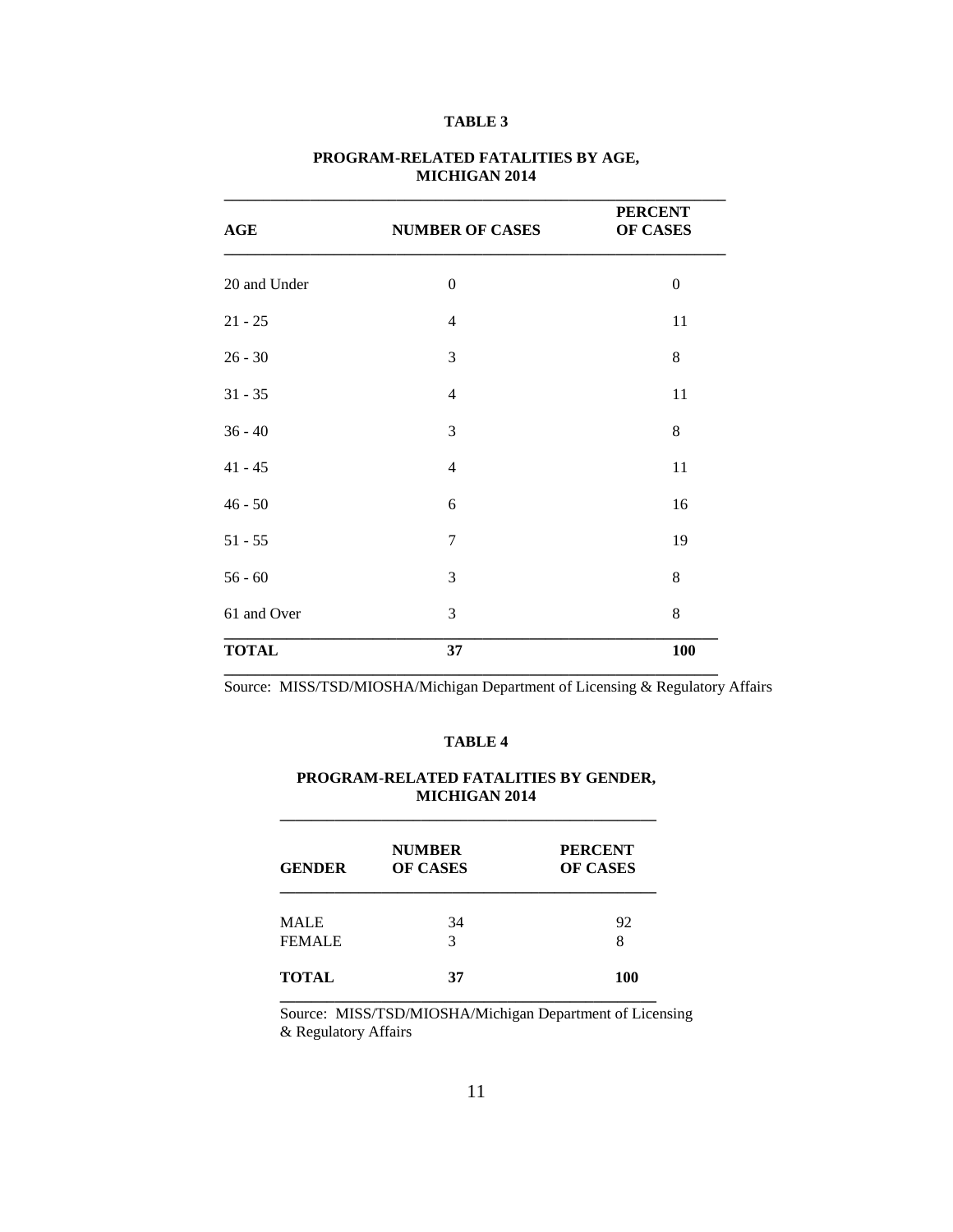| AGE          | <b>NUMBER OF CASES</b> | <b>PERCENT</b><br><b>OF CASES</b> |
|--------------|------------------------|-----------------------------------|
| 20 and Under | $\overline{0}$         | $\boldsymbol{0}$                  |
| $21 - 25$    | $\overline{4}$         | 11                                |
| $26 - 30$    | 3                      | $8\,$                             |
| $31 - 35$    | $\overline{4}$         | 11                                |
| $36 - 40$    | 3                      | 8                                 |
| $41 - 45$    | $\overline{4}$         | 11                                |
| $46 - 50$    | 6                      | 16                                |
| $51 - 55$    | $\overline{7}$         | 19                                |
| $56 - 60$    | 3                      | 8                                 |
| 61 and Over  | 3                      | $8\,$                             |
| <b>TOTAL</b> | 37                     | <b>100</b>                        |

#### **PROGRAM-RELATED FATALITIES BY AGE, MICHIGAN 2014**

Source: MISS/TSD/MIOSHA/Michigan Department of Licensing & Regulatory Affairs

#### **TABLE 4**

#### **PROGRAM-RELATED FATALITIES BY GENDER, MICHIGAN 2014**

**\_\_\_\_\_\_\_\_\_\_\_\_\_\_\_\_\_\_\_\_\_\_\_\_\_\_\_\_\_\_\_\_\_\_\_\_\_\_\_\_\_\_\_\_\_\_\_\_**

| <b>GENDER</b> | <b>NUMBER</b><br><b>OF CASES</b> | <b>PERCENT</b><br><b>OF CASES</b> |
|---------------|----------------------------------|-----------------------------------|
| <b>MALE</b>   | 34                               | 92                                |
| <b>FEMALE</b> | 3                                | 8                                 |
| <b>TOTAL</b>  | 37                               | 100                               |

Source: MISS/TSD/MIOSHA/Michigan Department of Licensing & Regulatory Affairs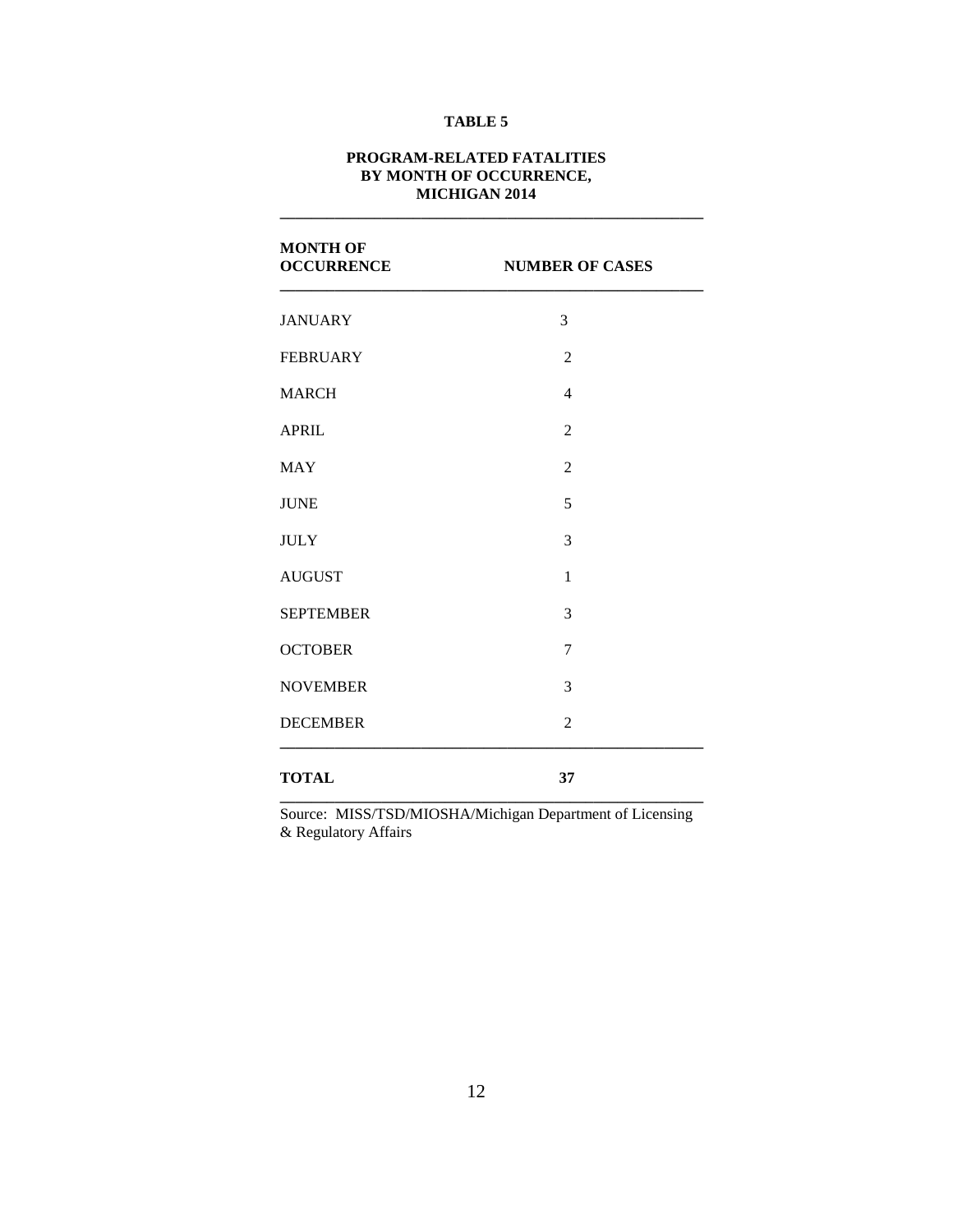#### **PROGRAM-RELATED FATALITIES BY MONTH OF OCCURRENCE, MICHIGAN 2014**

**\_\_\_\_\_\_\_\_\_\_\_\_\_\_\_\_\_\_\_\_\_\_\_\_\_\_\_\_\_\_\_\_\_\_\_\_\_\_\_\_\_\_\_\_\_\_\_\_\_\_\_\_\_\_**

| <b>MONTH OF</b><br><b>OCCURRENCE</b> | <b>NUMBER OF CASES</b> |
|--------------------------------------|------------------------|
| <b>JANUARY</b>                       | 3                      |
| <b>FEBRUARY</b>                      | $\overline{2}$         |
| <b>MARCH</b>                         | $\overline{4}$         |
| <b>APRIL</b>                         | $\overline{2}$         |
| <b>MAY</b>                           | $\overline{2}$         |
| <b>JUNE</b>                          | 5                      |
| <b>JULY</b>                          | 3                      |
| <b>AUGUST</b>                        | $\mathbf{1}$           |
| <b>SEPTEMBER</b>                     | 3                      |
| <b>OCTOBER</b>                       | $\tau$                 |
| <b>NOVEMBER</b>                      | 3                      |
| <b>DECEMBER</b>                      | $\overline{c}$         |
| <b>TOTAL</b>                         | 37                     |

Source: MISS/TSD/MIOSHA/Michigan Department of Licensing & Regulatory Affairs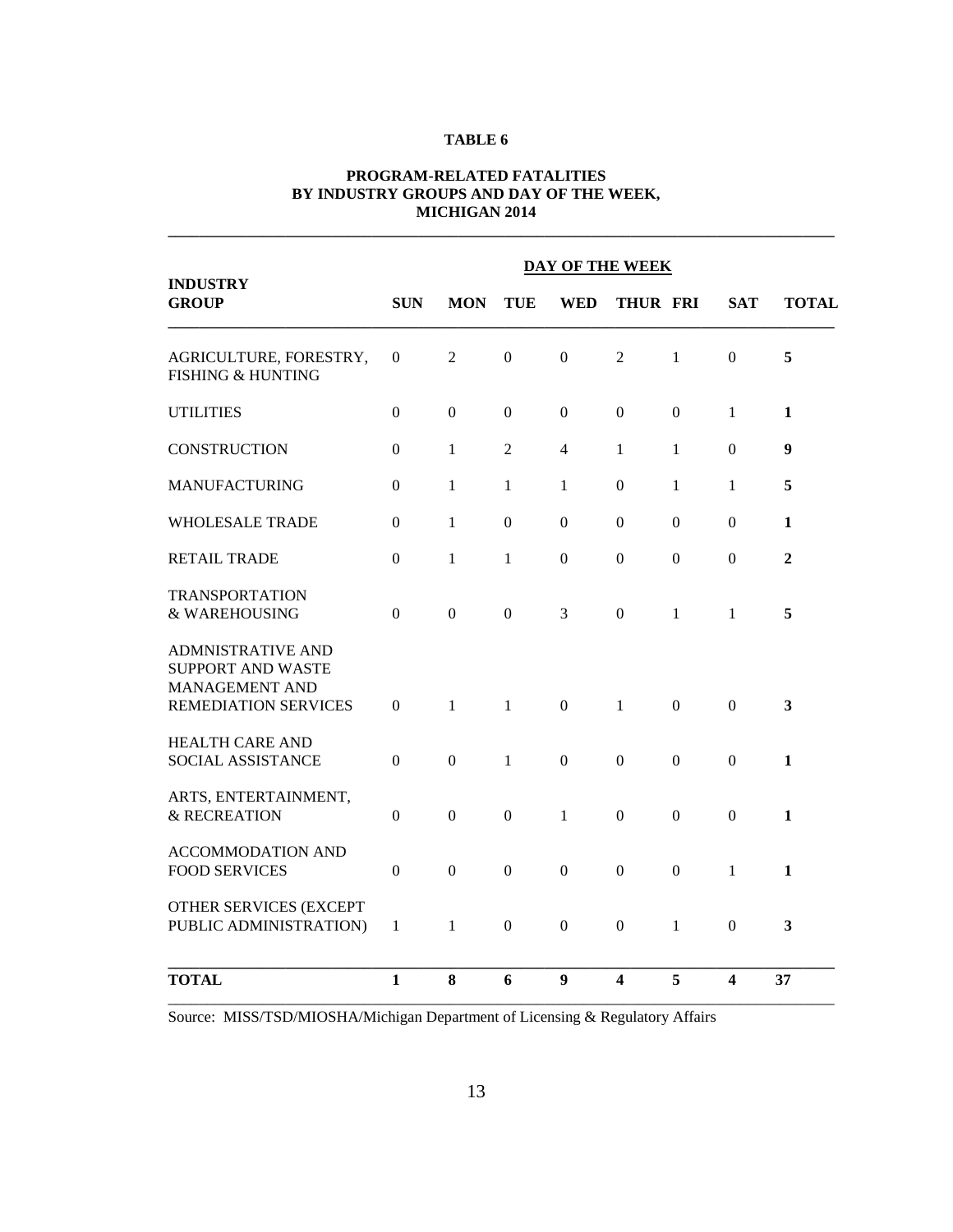#### **PROGRAM-RELATED FATALITIES BY INDUSTRY GROUPS AND DAY OF THE WEEK, MICHIGAN 2014**

**\_\_\_\_\_\_\_\_\_\_\_\_\_\_\_\_\_\_\_\_\_\_\_\_\_\_\_\_\_\_\_\_\_\_\_\_\_\_\_\_\_\_\_\_\_\_\_\_\_\_\_\_\_\_\_\_\_\_\_\_\_\_\_\_\_\_\_\_\_\_\_\_\_\_\_\_\_\_\_\_\_\_\_\_\_**

| <b>INDUSTRY</b>                                                                                | <b>DAY OF THE WEEK</b> |                  |                  |                  |                         |                |                |                         |
|------------------------------------------------------------------------------------------------|------------------------|------------------|------------------|------------------|-------------------------|----------------|----------------|-------------------------|
| <b>GROUP</b>                                                                                   | <b>SUN</b>             | <b>MON</b>       | TUE              | <b>WED</b>       | <b>THUR FRI</b>         |                | <b>SAT</b>     | <b>TOTAL</b>            |
| AGRICULTURE, FORESTRY,<br><b>FISHING &amp; HUNTING</b>                                         | $\Omega$               | $\overline{2}$   | $\mathbf{0}$     | $\boldsymbol{0}$ | $\overline{2}$          | $\mathbf{1}$   | $\theta$       | 5                       |
| <b>UTILITIES</b>                                                                               | $\Omega$               | $\Omega$         | $\Omega$         | $\Omega$         | $\Omega$                | $\Omega$       | $\mathbf{1}$   | 1                       |
| <b>CONSTRUCTION</b>                                                                            | $\mathbf{0}$           | $\mathbf{1}$     | $\overline{2}$   | $\overline{4}$   | $\mathbf{1}$            | $\mathbf{1}$   | $\overline{0}$ | 9                       |
| <b>MANUFACTURING</b>                                                                           | $\mathbf{0}$           | 1                | 1                | 1                | $\mathbf{0}$            | 1              | 1              | 5                       |
| <b>WHOLESALE TRADE</b>                                                                         | $\Omega$               | $\mathbf{1}$     | $\Omega$         | $\Omega$         | $\Omega$                | $\Omega$       | $\theta$       | $\mathbf{1}$            |
| <b>RETAIL TRADE</b>                                                                            | $\Omega$               | $\mathbf{1}$     | 1                | $\mathbf{0}$     | $\boldsymbol{0}$        | $\Omega$       | $\theta$       | $\overline{2}$          |
| <b>TRANSPORTATION</b><br>& WAREHOUSING                                                         | $\boldsymbol{0}$       | $\boldsymbol{0}$ | $\boldsymbol{0}$ | 3                | $\boldsymbol{0}$        | $\mathbf{1}$   | 1              | 5                       |
| <b>ADMNISTRATIVE AND</b><br>SUPPORT AND WASTE<br>MANAGEMENT AND<br><b>REMEDIATION SERVICES</b> | $\Omega$               | $\mathbf{1}$     | $\mathbf{1}$     | $\mathbf{0}$     | $\mathbf{1}$            | $\overline{0}$ | $\theta$       | 3                       |
| <b>HEALTH CARE AND</b><br>SOCIAL ASSISTANCE                                                    | $\overline{0}$         | $\boldsymbol{0}$ | $\mathbf{1}$     | $\boldsymbol{0}$ | $\boldsymbol{0}$        | $\mathbf{0}$   | $\overline{0}$ | 1                       |
| ARTS, ENTERTAINMENT,<br>& RECREATION                                                           | $\boldsymbol{0}$       | $\boldsymbol{0}$ | $\boldsymbol{0}$ | 1                | $\boldsymbol{0}$        | $\Omega$       | $\theta$       | $\mathbf{1}$            |
| <b>ACCOMMODATION AND</b><br><b>FOOD SERVICES</b>                                               | $\Omega$               | $\overline{0}$   | $\overline{0}$   | $\Omega$         | $\mathbf{0}$            | $\Omega$       | $\mathbf{1}$   | 1                       |
| OTHER SERVICES (EXCEPT<br>PUBLIC ADMINISTRATION)                                               | $\mathbf{1}$           | 1                | $\mathbf{0}$     | $\boldsymbol{0}$ | $\boldsymbol{0}$        | $\mathbf{1}$   | $\theta$       | $\overline{\mathbf{3}}$ |
| <b>TOTAL</b>                                                                                   | $\mathbf{1}$           | 8                | 6                | 9                | $\overline{\mathbf{4}}$ | 5              | 4              | 37                      |

Source: MISS/TSD/MIOSHA/Michigan Department of Licensing & Regulatory Affairs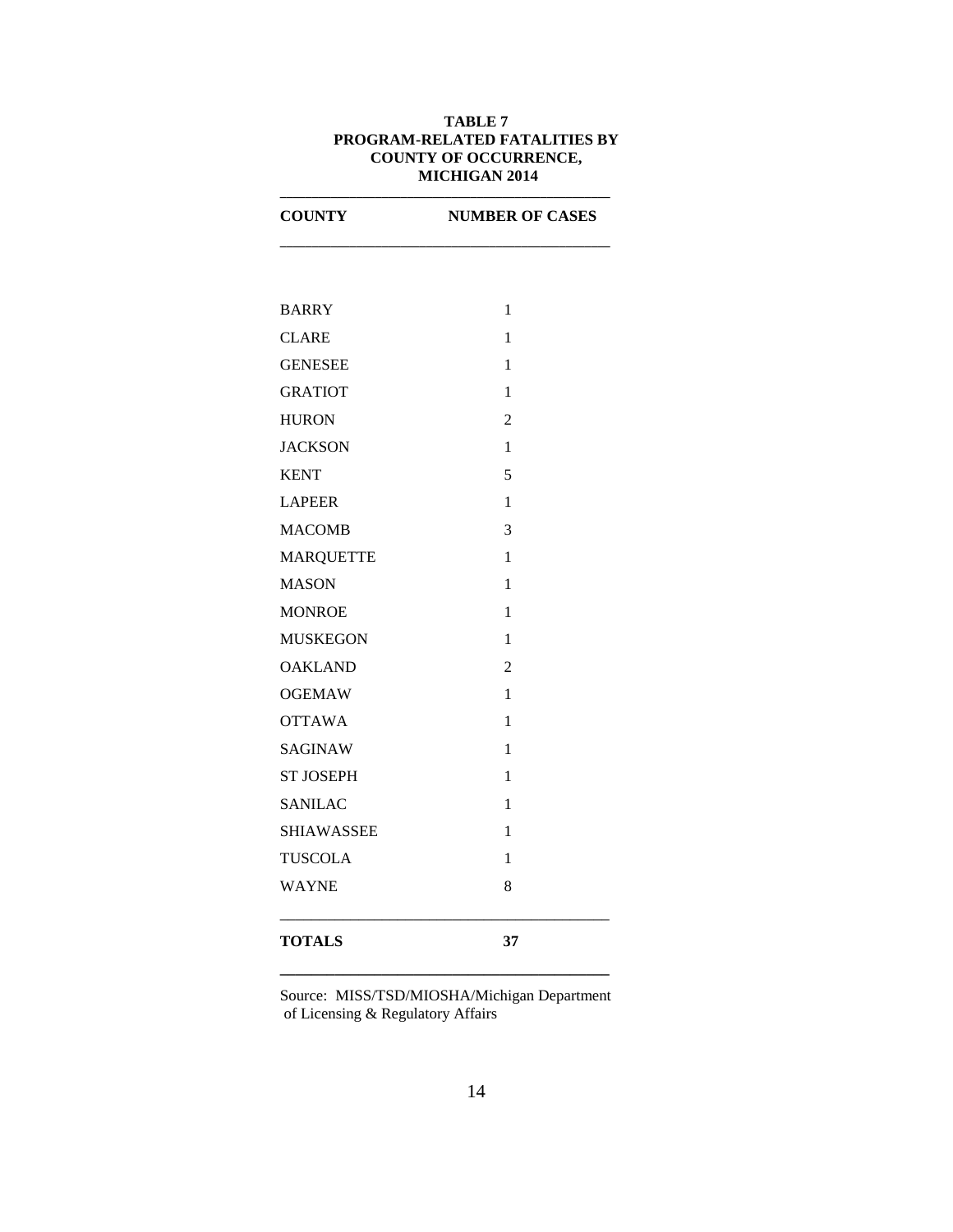#### **TABLE 7 PROGRAM-RELATED FATALITIES BY COUNTY OF OCCURRENCE, MICHIGAN 2014**

**\_\_\_\_\_\_\_\_\_\_\_\_\_\_\_\_\_\_\_\_\_\_\_\_\_\_\_\_\_\_\_\_\_\_\_\_\_\_\_\_\_\_\_\_\_\_\_\_\_\_\_\_**

| <b>COUNTY</b>     | <b>NUMBER OF CASES</b> |  |  |  |  |  |
|-------------------|------------------------|--|--|--|--|--|
|                   |                        |  |  |  |  |  |
| <b>BARRY</b>      | 1                      |  |  |  |  |  |
| <b>CLARE</b>      | $\mathbf{1}$           |  |  |  |  |  |
| <b>GENESEE</b>    | 1                      |  |  |  |  |  |
| <b>GRATIOT</b>    | 1                      |  |  |  |  |  |
| <b>HURON</b>      | $\overline{2}$         |  |  |  |  |  |
| <b>JACKSON</b>    | 1                      |  |  |  |  |  |
| <b>KENT</b>       | 5                      |  |  |  |  |  |
| <b>LAPEER</b>     | 1                      |  |  |  |  |  |
| <b>MACOMB</b>     | 3                      |  |  |  |  |  |
| <b>MARQUETTE</b>  | 1                      |  |  |  |  |  |
| <b>MASON</b>      | 1                      |  |  |  |  |  |
| <b>MONROE</b>     | 1                      |  |  |  |  |  |
| <b>MUSKEGON</b>   | 1                      |  |  |  |  |  |
| <b>OAKLAND</b>    | $\overline{2}$         |  |  |  |  |  |
| <b>OGEMAW</b>     | $\mathbf{1}$           |  |  |  |  |  |
| <b>OTTAWA</b>     | 1                      |  |  |  |  |  |
| <b>SAGINAW</b>    | 1                      |  |  |  |  |  |
| <b>ST JOSEPH</b>  | 1                      |  |  |  |  |  |
| <b>SANILAC</b>    | 1                      |  |  |  |  |  |
| <b>SHIAWASSEE</b> | 1                      |  |  |  |  |  |
| <b>TUSCOLA</b>    | 1                      |  |  |  |  |  |
| <b>WAYNE</b>      | 8                      |  |  |  |  |  |
| <b>TOTALS</b>     | 37                     |  |  |  |  |  |

Source: MISS/TSD/MIOSHA/Michigan Department of Licensing & Regulatory Affairs

**\_\_\_\_\_\_\_\_\_\_\_\_\_\_\_\_\_\_\_\_\_\_\_\_\_\_\_\_\_\_\_\_\_\_\_\_\_\_\_\_\_\_**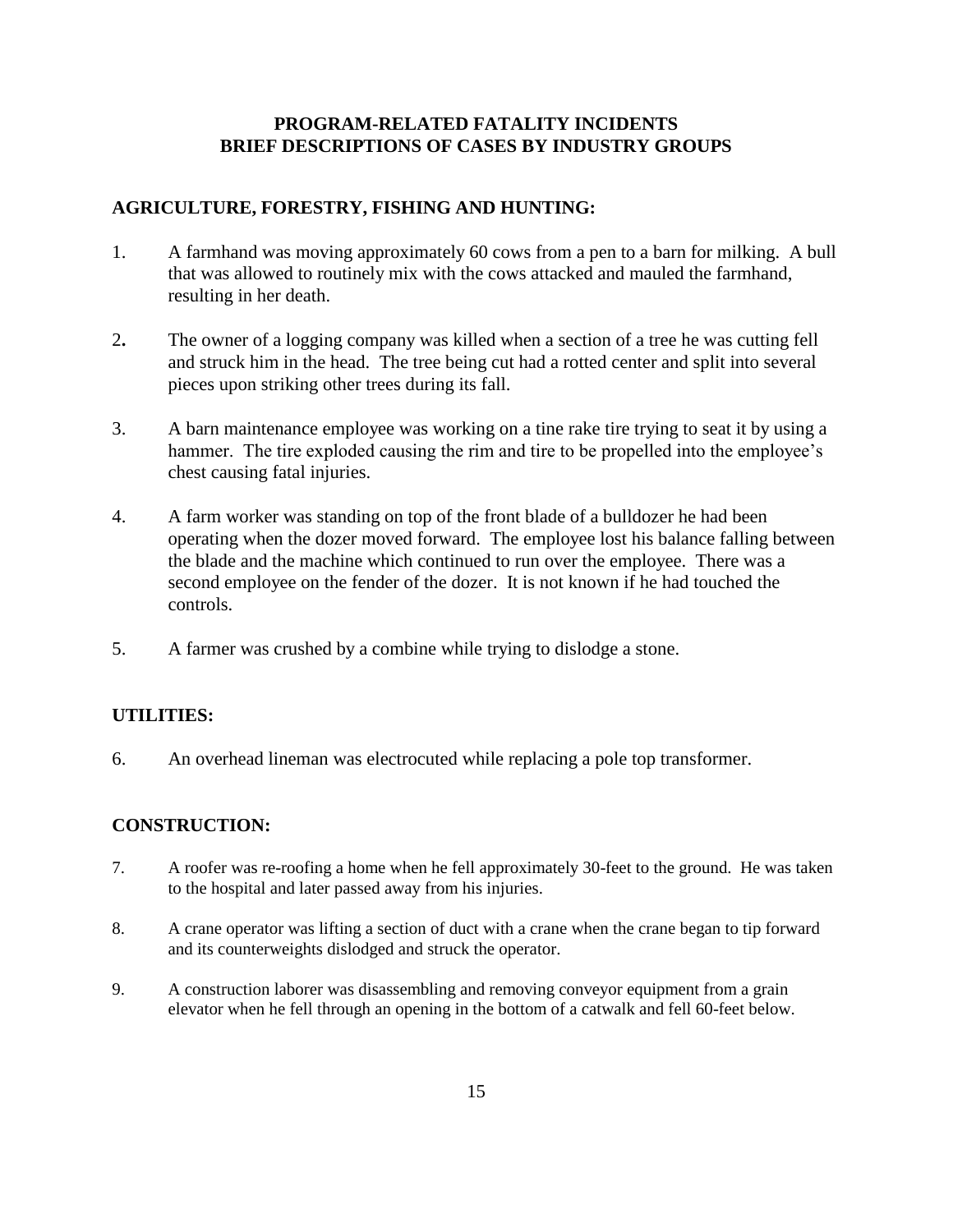# **PROGRAM-RELATED FATALITY INCIDENTS BRIEF DESCRIPTIONS OF CASES BY INDUSTRY GROUPS**

## **AGRICULTURE, FORESTRY, FISHING AND HUNTING:**

- 1. A farmhand was moving approximately 60 cows from a pen to a barn for milking. A bull that was allowed to routinely mix with the cows attacked and mauled the farmhand, resulting in her death.
- 2**.** The owner of a logging company was killed when a section of a tree he was cutting fell and struck him in the head. The tree being cut had a rotted center and split into several pieces upon striking other trees during its fall.
- 3. A barn maintenance employee was working on a tine rake tire trying to seat it by using a hammer. The tire exploded causing the rim and tire to be propelled into the employee's chest causing fatal injuries.
- 4. A farm worker was standing on top of the front blade of a bulldozer he had been operating when the dozer moved forward. The employee lost his balance falling between the blade and the machine which continued to run over the employee. There was a second employee on the fender of the dozer. It is not known if he had touched the controls.
- 5. A farmer was crushed by a combine while trying to dislodge a stone.

# **UTILITIES:**

6. An overhead lineman was electrocuted while replacing a pole top transformer.

## **CONSTRUCTION:**

- 7. A roofer was re-roofing a home when he fell approximately 30-feet to the ground. He was taken to the hospital and later passed away from his injuries.
- 8. A crane operator was lifting a section of duct with a crane when the crane began to tip forward and its counterweights dislodged and struck the operator.
- 9. A construction laborer was disassembling and removing conveyor equipment from a grain elevator when he fell through an opening in the bottom of a catwalk and fell 60-feet below.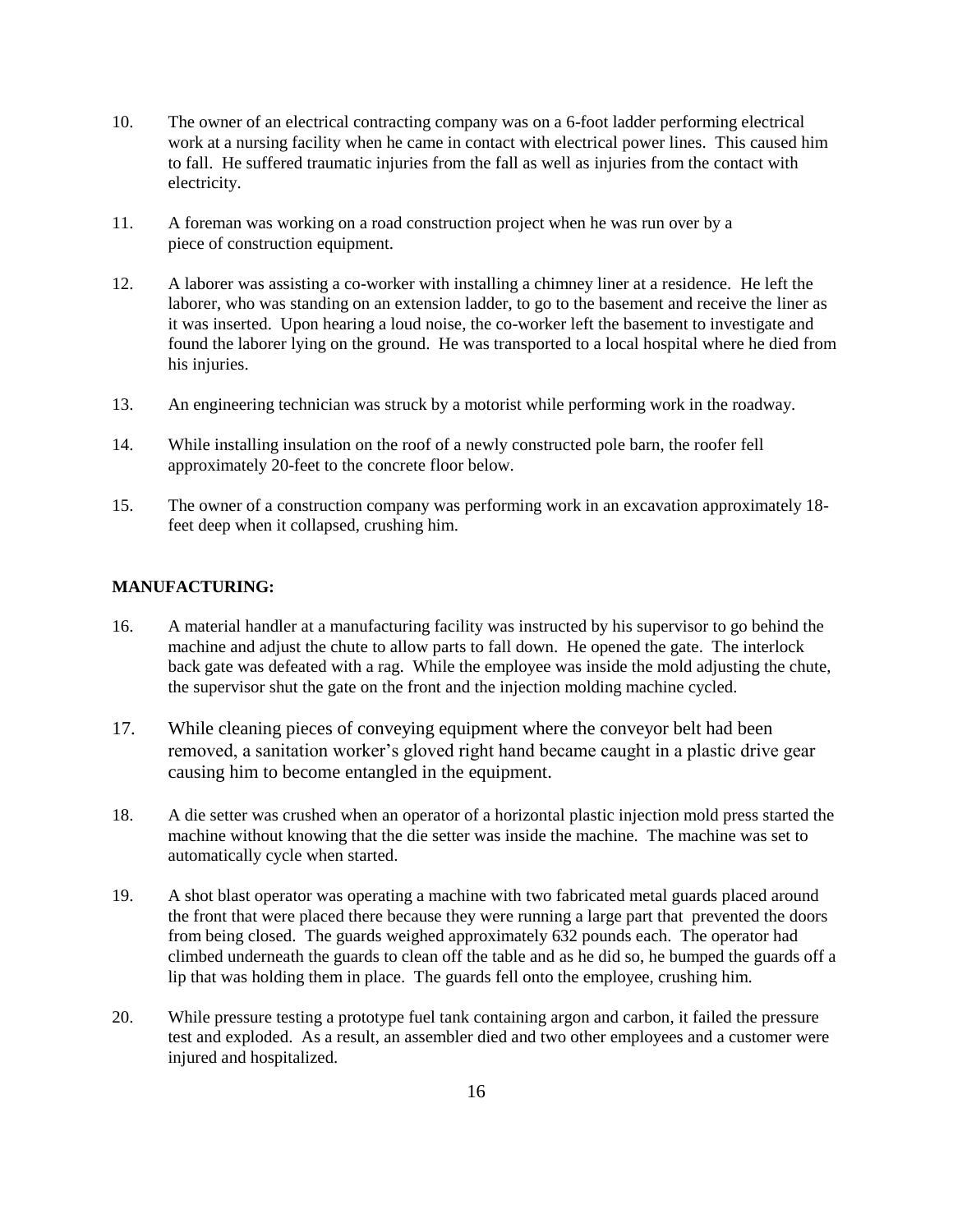- 10. The owner of an electrical contracting company was on a 6-foot ladder performing electrical work at a nursing facility when he came in contact with electrical power lines. This caused him to fall. He suffered traumatic injuries from the fall as well as injuries from the contact with electricity.
- 11. A foreman was working on a road construction project when he was run over by a piece of construction equipment.
- 12. A laborer was assisting a co-worker with installing a chimney liner at a residence. He left the laborer, who was standing on an extension ladder, to go to the basement and receive the liner as it was inserted. Upon hearing a loud noise, the co-worker left the basement to investigate and found the laborer lying on the ground. He was transported to a local hospital where he died from his injuries.
- 13. An engineering technician was struck by a motorist while performing work in the roadway.
- 14. While installing insulation on the roof of a newly constructed pole barn, the roofer fell approximately 20-feet to the concrete floor below.
- 15. The owner of a construction company was performing work in an excavation approximately 18 feet deep when it collapsed, crushing him.

#### **MANUFACTURING:**

- 16. A material handler at a manufacturing facility was instructed by his supervisor to go behind the machine and adjust the chute to allow parts to fall down. He opened the gate. The interlock back gate was defeated with a rag. While the employee was inside the mold adjusting the chute, the supervisor shut the gate on the front and the injection molding machine cycled.
- 17. While cleaning pieces of conveying equipment where the conveyor belt had been removed, a sanitation worker's gloved right hand became caught in a plastic drive gear causing him to become entangled in the equipment.
- 18. A die setter was crushed when an operator of a horizontal plastic injection mold press started the machine without knowing that the die setter was inside the machine. The machine was set to automatically cycle when started.
- 19. A shot blast operator was operating a machine with two fabricated metal guards placed around the front that were placed there because they were running a large part that prevented the doors from being closed. The guards weighed approximately 632 pounds each. The operator had climbed underneath the guards to clean off the table and as he did so, he bumped the guards off a lip that was holding them in place. The guards fell onto the employee, crushing him.
- 20. While pressure testing a prototype fuel tank containing argon and carbon, it failed the pressure test and exploded. As a result, an assembler died and two other employees and a customer were injured and hospitalized.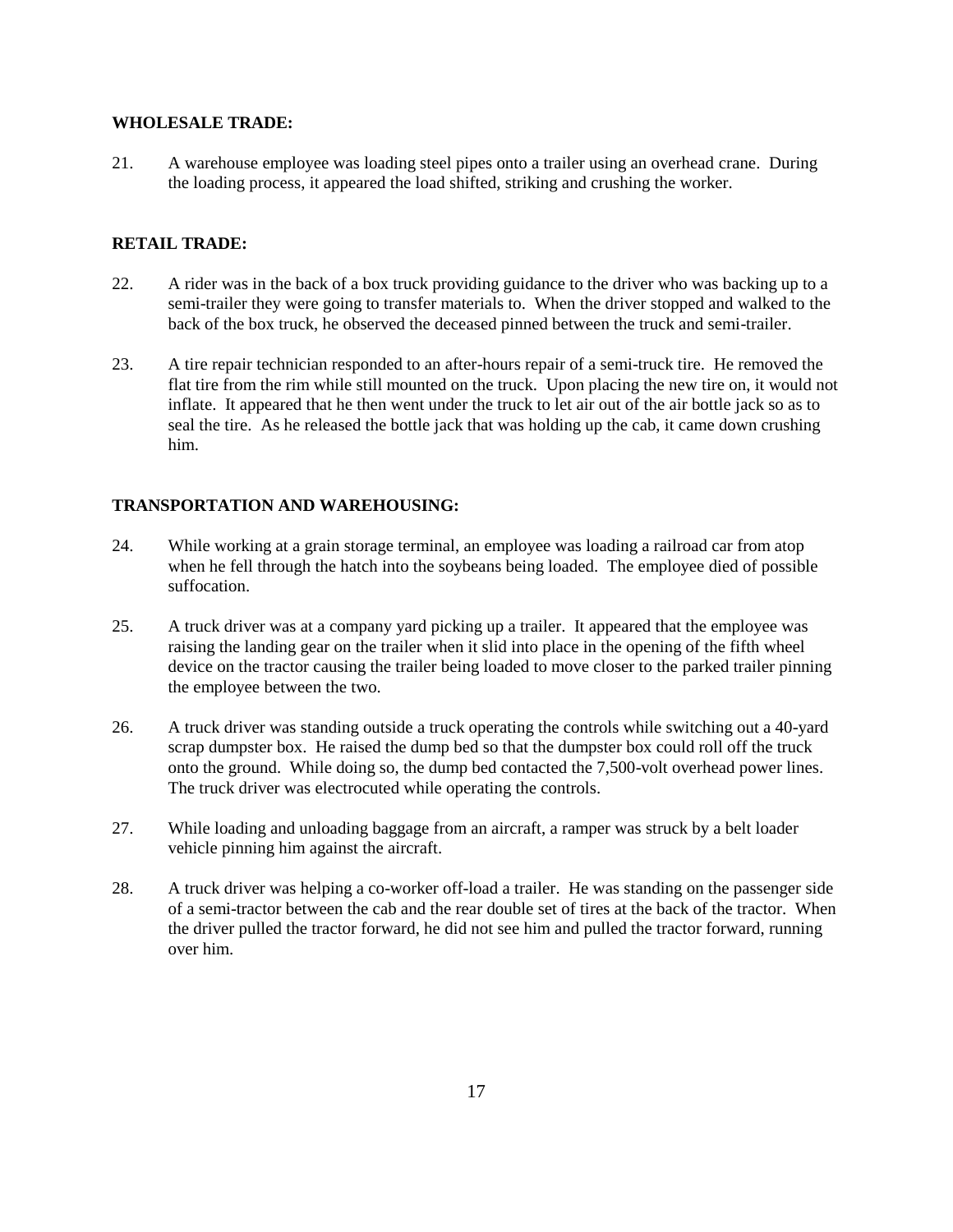#### **WHOLESALE TRADE:**

21. A warehouse employee was loading steel pipes onto a trailer using an overhead crane. During the loading process, it appeared the load shifted, striking and crushing the worker.

#### **RETAIL TRADE:**

- 22. A rider was in the back of a box truck providing guidance to the driver who was backing up to a semi-trailer they were going to transfer materials to. When the driver stopped and walked to the back of the box truck, he observed the deceased pinned between the truck and semi-trailer.
- 23. A tire repair technician responded to an after-hours repair of a semi-truck tire. He removed the flat tire from the rim while still mounted on the truck. Upon placing the new tire on, it would not inflate. It appeared that he then went under the truck to let air out of the air bottle jack so as to seal the tire. As he released the bottle jack that was holding up the cab, it came down crushing him.

#### **TRANSPORTATION AND WAREHOUSING:**

- 24. While working at a grain storage terminal, an employee was loading a railroad car from atop when he fell through the hatch into the soybeans being loaded. The employee died of possible suffocation.
- 25. A truck driver was at a company yard picking up a trailer. It appeared that the employee was raising the landing gear on the trailer when it slid into place in the opening of the fifth wheel device on the tractor causing the trailer being loaded to move closer to the parked trailer pinning the employee between the two.
- 26. A truck driver was standing outside a truck operating the controls while switching out a 40-yard scrap dumpster box. He raised the dump bed so that the dumpster box could roll off the truck onto the ground. While doing so, the dump bed contacted the 7,500-volt overhead power lines. The truck driver was electrocuted while operating the controls.
- 27. While loading and unloading baggage from an aircraft, a ramper was struck by a belt loader vehicle pinning him against the aircraft.
- 28. A truck driver was helping a co-worker off-load a trailer. He was standing on the passenger side of a semi-tractor between the cab and the rear double set of tires at the back of the tractor. When the driver pulled the tractor forward, he did not see him and pulled the tractor forward, running over him.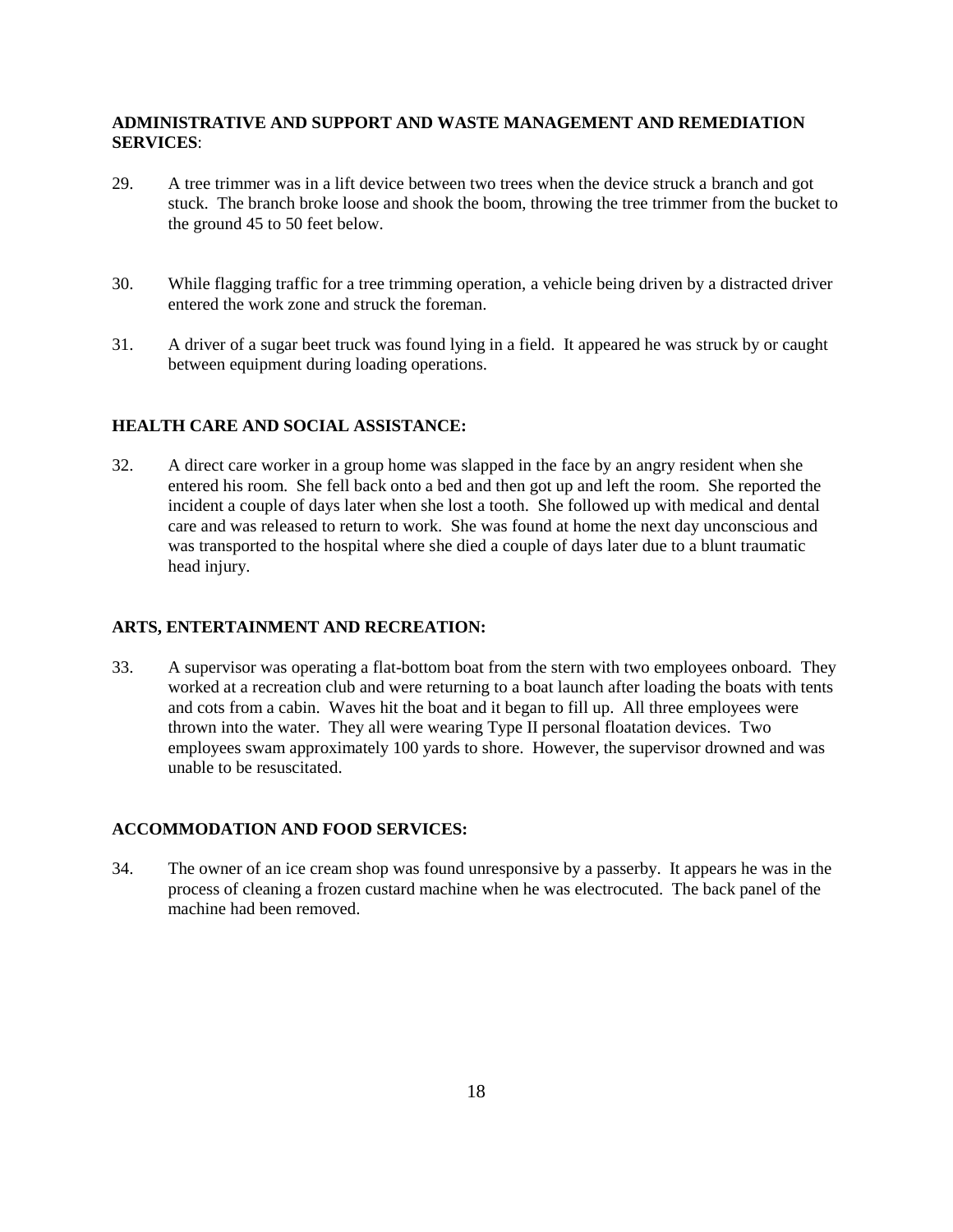#### **ADMINISTRATIVE AND SUPPORT AND WASTE MANAGEMENT AND REMEDIATION SERVICES**:

- 29. A tree trimmer was in a lift device between two trees when the device struck a branch and got stuck. The branch broke loose and shook the boom, throwing the tree trimmer from the bucket to the ground 45 to 50 feet below.
- 30. While flagging traffic for a tree trimming operation, a vehicle being driven by a distracted driver entered the work zone and struck the foreman.
- 31. A driver of a sugar beet truck was found lying in a field. It appeared he was struck by or caught between equipment during loading operations.

#### **HEALTH CARE AND SOCIAL ASSISTANCE:**

32. A direct care worker in a group home was slapped in the face by an angry resident when she entered his room. She fell back onto a bed and then got up and left the room. She reported the incident a couple of days later when she lost a tooth. She followed up with medical and dental care and was released to return to work. She was found at home the next day unconscious and was transported to the hospital where she died a couple of days later due to a blunt traumatic head injury.

#### **ARTS, ENTERTAINMENT AND RECREATION:**

33. A supervisor was operating a flat-bottom boat from the stern with two employees onboard. They worked at a recreation club and were returning to a boat launch after loading the boats with tents and cots from a cabin. Waves hit the boat and it began to fill up. All three employees were thrown into the water. They all were wearing Type II personal floatation devices. Two employees swam approximately 100 yards to shore. However, the supervisor drowned and was unable to be resuscitated.

#### **ACCOMMODATION AND FOOD SERVICES:**

34. The owner of an ice cream shop was found unresponsive by a passerby. It appears he was in the process of cleaning a frozen custard machine when he was electrocuted. The back panel of the machine had been removed.